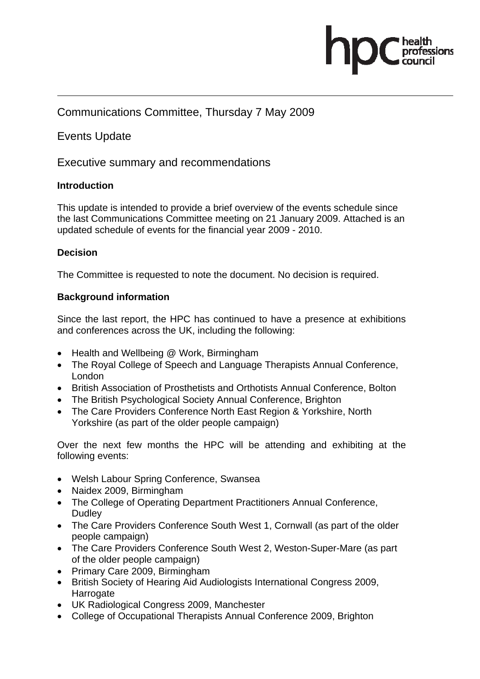

### Communications Committee, Thursday 7 May 2009

### Events Update

### Executive summary and recommendations

### **Introduction**

This update is intended to provide a brief overview of the events schedule since the last Communications Committee meeting on 21 January 2009. Attached is an updated schedule of events for the financial year 2009 - 2010.

### **Decision**

The Committee is requested to note the document. No decision is required.

### **Background information**

Since the last report, the HPC has continued to have a presence at exhibitions and conferences across the UK, including the following:

- Health and Wellbeing @ Work, Birmingham
- The Royal College of Speech and Language Therapists Annual Conference, London
- British Association of Prosthetists and Orthotists Annual Conference, Bolton
- The British Psychological Society Annual Conference, Brighton
- The Care Providers Conference North East Region & Yorkshire, North Yorkshire (as part of the older people campaign)

Over the next few months the HPC will be attending and exhibiting at the following events:

- Welsh Labour Spring Conference, Swansea
- Naidex 2009, Birmingham
- The College of Operating Department Practitioners Annual Conference, **Dudley**
- The Care Providers Conference South West 1, Cornwall (as part of the older people campaign)
- The Care Providers Conference South West 2, Weston-Super-Mare (as part of the older people campaign)
- Primary Care 2009, Birmingham
- British Society of Hearing Aid Audiologists International Congress 2009, **Harrogate**
- UK Radiological Congress 2009, Manchester
- College of Occupational Therapists Annual Conference 2009, Brighton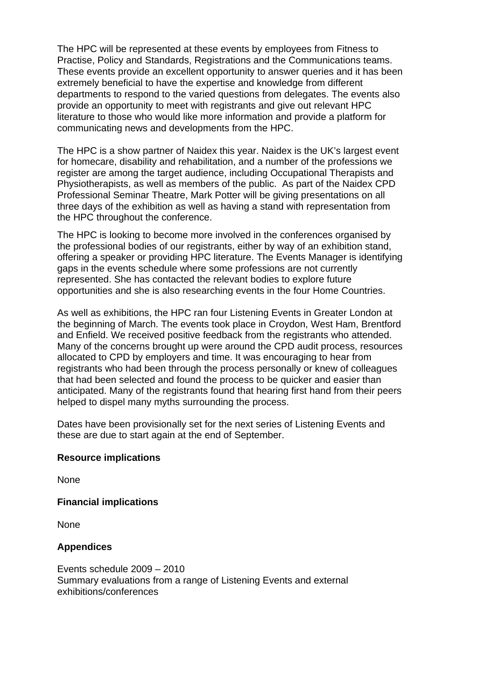The HPC will be represented at these events by employees from Fitness to Practise, Policy and Standards, Registrations and the Communications teams. These events provide an excellent opportunity to answer queries and it has been extremely beneficial to have the expertise and knowledge from different departments to respond to the varied questions from delegates. The events also provide an opportunity to meet with registrants and give out relevant HPC literature to those who would like more information and provide a platform for communicating news and developments from the HPC.

The HPC is a show partner of Naidex this year. Naidex is the UK's largest event for homecare, disability and rehabilitation, and a number of the professions we register are among the target audience, including Occupational Therapists and Physiotherapists, as well as members of the public. As part of the Naidex CPD Professional Seminar Theatre, Mark Potter will be giving presentations on all three days of the exhibition as well as having a stand with representation from the HPC throughout the conference.

The HPC is looking to become more involved in the conferences organised by the professional bodies of our registrants, either by way of an exhibition stand, offering a speaker or providing HPC literature. The Events Manager is identifying gaps in the events schedule where some professions are not currently represented. She has contacted the relevant bodies to explore future opportunities and she is also researching events in the four Home Countries.

As well as exhibitions, the HPC ran four Listening Events in Greater London at the beginning of March. The events took place in Croydon, West Ham, Brentford and Enfield. We received positive feedback from the registrants who attended. Many of the concerns brought up were around the CPD audit process, resources allocated to CPD by employers and time. It was encouraging to hear from registrants who had been through the process personally or knew of colleagues that had been selected and found the process to be quicker and easier than anticipated. Many of the registrants found that hearing first hand from their peers helped to dispel many myths surrounding the process.

Dates have been provisionally set for the next series of Listening Events and these are due to start again at the end of September.

#### **Resource implications**

None

### **Financial implications**

None

### **Appendices**

Events schedule 2009 – 2010 Summary evaluations from a range of Listening Events and external exhibitions/conferences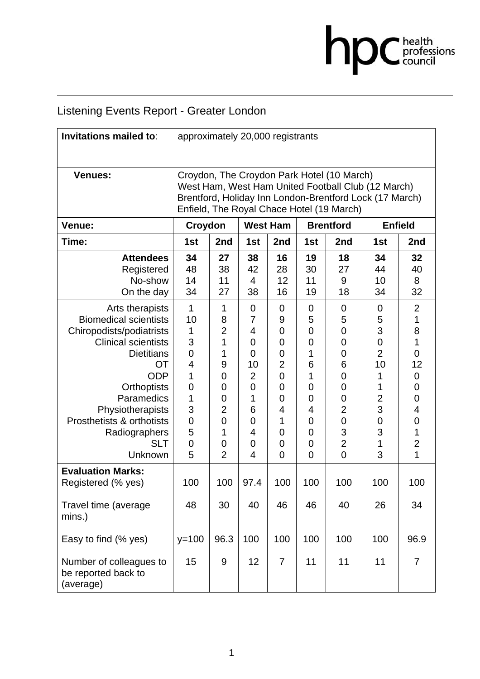# **DC** health<br>council

# Listening Events Report - Greater London

| Invitations mailed to:                                                                                                                                                                                                                                                            | approximately 20,000 registrants                                                                                                                                                                         |                                                                                                           |                                                                     |                                                                                              |                                                                                                                                                         |                                                                                                                        |                                                                                                                                |                                                                                                                                                 |
|-----------------------------------------------------------------------------------------------------------------------------------------------------------------------------------------------------------------------------------------------------------------------------------|----------------------------------------------------------------------------------------------------------------------------------------------------------------------------------------------------------|-----------------------------------------------------------------------------------------------------------|---------------------------------------------------------------------|----------------------------------------------------------------------------------------------|---------------------------------------------------------------------------------------------------------------------------------------------------------|------------------------------------------------------------------------------------------------------------------------|--------------------------------------------------------------------------------------------------------------------------------|-------------------------------------------------------------------------------------------------------------------------------------------------|
| <b>Venues:</b>                                                                                                                                                                                                                                                                    | Croydon, The Croydon Park Hotel (10 March)<br>West Ham, West Ham United Football Club (12 March)<br>Brentford, Holiday Inn London-Brentford Lock (17 March)<br>Enfield, The Royal Chace Hotel (19 March) |                                                                                                           |                                                                     |                                                                                              |                                                                                                                                                         |                                                                                                                        |                                                                                                                                |                                                                                                                                                 |
| Venue:                                                                                                                                                                                                                                                                            | Croydon                                                                                                                                                                                                  |                                                                                                           | <b>West Ham</b>                                                     |                                                                                              |                                                                                                                                                         | <b>Brentford</b>                                                                                                       |                                                                                                                                | <b>Enfield</b>                                                                                                                                  |
| Time:                                                                                                                                                                                                                                                                             | 1st                                                                                                                                                                                                      | 2nd                                                                                                       | 1st                                                                 | 2nd                                                                                          | 1st                                                                                                                                                     | 2nd                                                                                                                    | 1st                                                                                                                            | 2nd                                                                                                                                             |
| <b>Attendees</b><br>Registered<br>No-show<br>On the day                                                                                                                                                                                                                           | 34<br>48<br>14<br>34                                                                                                                                                                                     | 27<br>38<br>11<br>27                                                                                      | 38<br>42<br>4<br>38                                                 | 16<br>28<br>12<br>16                                                                         | 19<br>30<br>11<br>19                                                                                                                                    | 18<br>27<br>9<br>18                                                                                                    | 34<br>44<br>10<br>34                                                                                                           | 32<br>40<br>8<br>32                                                                                                                             |
| Arts therapists<br><b>Biomedical scientists</b><br>Chiropodists/podiatrists<br><b>Clinical scientists</b><br><b>Dietitians</b><br><b>OT</b><br><b>ODP</b><br>Orthoptists<br>Paramedics<br>Physiotherapists<br>Prosthetists & orthotists<br>Radiographers<br><b>SLT</b><br>Unknown | 1<br>10<br>1<br>3<br>$\overline{0}$<br>4<br>1<br>$\mathbf 0$<br>1<br>3<br>0<br>5<br>0<br>5                                                                                                               | 1<br>8<br>$\overline{2}$<br>1<br>1<br>9<br>0<br>0<br>0<br>$\overline{2}$<br>0<br>1<br>0<br>$\overline{2}$ | 0<br>7<br>4<br>0<br>0<br>10<br>2<br>0<br>1<br>6<br>0<br>4<br>0<br>4 | 0<br>9<br>0<br>0<br>0<br>2<br>$\overline{0}$<br>0<br>0<br>4<br>1<br>0<br>0<br>$\overline{0}$ | 0<br>5<br>$\overline{0}$<br>$\mathbf 0$<br>1<br>6<br>1<br>$\mathbf 0$<br>$\overline{0}$<br>4<br>$\overline{0}$<br>$\overline{0}$<br>0<br>$\overline{0}$ | 0<br>5<br>$\overline{0}$<br>0<br>0<br>6<br>0<br>0<br>0<br>2<br>$\overline{0}$<br>3<br>$\overline{2}$<br>$\overline{0}$ | $\mathbf 0$<br>5<br>3<br>$\overline{0}$<br>$\overline{2}$<br>10<br>1<br>1<br>$\overline{c}$<br>3<br>$\mathbf 0$<br>3<br>1<br>3 | $\overline{2}$<br>1<br>8<br>1<br>$\mathbf 0$<br>12<br>$\mathbf 0$<br>$\mathbf 0$<br>$\mathbf 0$<br>4<br>$\mathbf 0$<br>1<br>$\overline{2}$<br>1 |
| <b>Evaluation Marks:</b><br>Registered (% yes)                                                                                                                                                                                                                                    | 100                                                                                                                                                                                                      | 100                                                                                                       | 97.4                                                                | 100                                                                                          | 100                                                                                                                                                     | 100                                                                                                                    | 100                                                                                                                            | 100                                                                                                                                             |
| Travel time (average<br>mins.)                                                                                                                                                                                                                                                    | 48                                                                                                                                                                                                       | 30                                                                                                        | 40                                                                  | 46                                                                                           | 46                                                                                                                                                      | 40                                                                                                                     | 26                                                                                                                             | 34                                                                                                                                              |
| Easy to find (% yes)                                                                                                                                                                                                                                                              | $y=100$                                                                                                                                                                                                  | 96.3                                                                                                      | 100                                                                 | 100                                                                                          | 100                                                                                                                                                     | 100                                                                                                                    | 100                                                                                                                            | 96.9                                                                                                                                            |
| Number of colleagues to<br>be reported back to<br>(average)                                                                                                                                                                                                                       | 15                                                                                                                                                                                                       | 9                                                                                                         | 12                                                                  | $\overline{7}$                                                                               | 11                                                                                                                                                      | 11                                                                                                                     | 11                                                                                                                             | $\overline{7}$                                                                                                                                  |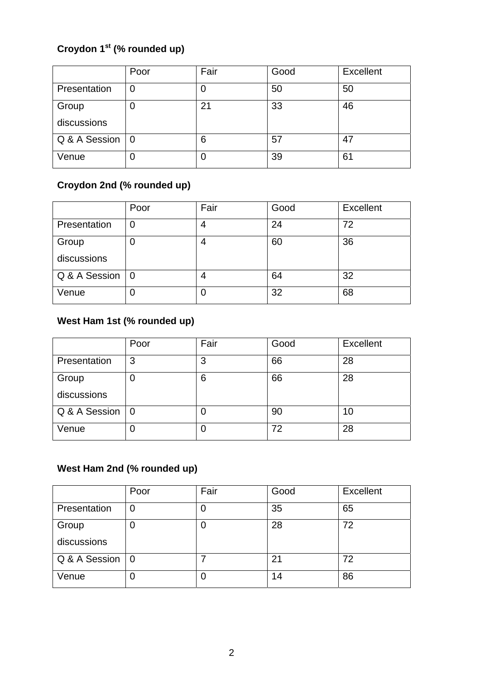# **Croydon 1st (% rounded up)**

|               | Poor           | Fair | Good | <b>Excellent</b> |
|---------------|----------------|------|------|------------------|
| Presentation  | C              | O    | 50   | 50               |
| Group         | C              | 21   | 33   | 46               |
| discussions   |                |      |      |                  |
| Q & A Session | $\overline{0}$ | 6    | 57   | 47               |
| Venue         | 0              | 0    | 39   | 61               |

# **Croydon 2nd (% rounded up)**

|               | Poor           | Fair | Good | <b>Excellent</b> |
|---------------|----------------|------|------|------------------|
| Presentation  |                |      | 24   | 72               |
| Group         | Ü              |      | 60   | 36               |
| discussions   |                |      |      |                  |
| Q & A Session | $\overline{0}$ | 4    | 64   | 32               |
| Venue         | 0              | O    | 32   | 68               |

### **West Ham 1st (% rounded up)**

|               | Poor           | Fair | Good | <b>Excellent</b> |
|---------------|----------------|------|------|------------------|
| Presentation  | 3              | 3    | 66   | 28               |
| Group         | C              | 6    | 66   | 28               |
| discussions   |                |      |      |                  |
| Q & A Session | $\overline{0}$ | O    | 90   | 10               |
| Venue         | 0              | 0    | 72   | 28               |

# **West Ham 2nd (% rounded up)**

|               | Poor           | Fair | Good | <b>Excellent</b> |
|---------------|----------------|------|------|------------------|
| Presentation  | C              | Ő    | 35   | 65               |
| Group         | O              | 0    | 28   | 72               |
| discussions   |                |      |      |                  |
| Q & A Session | $\overline{0}$ |      | 21   | 72               |
| Venue         | O              | O    | 14   | 86               |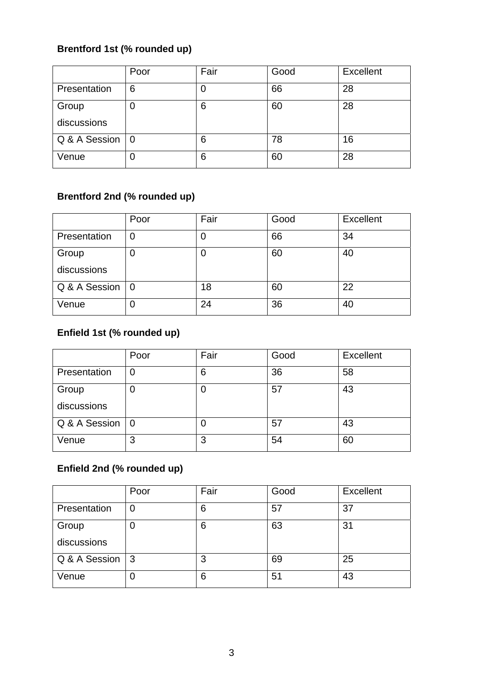### **Brentford 1st (% rounded up)**

|               | Poor           | Fair | Good | Excellent |
|---------------|----------------|------|------|-----------|
| Presentation  | 6              | 0    | 66   | 28        |
| Group         | 0              | 6    | 60   | 28        |
| discussions   |                |      |      |           |
| Q & A Session | $\overline{0}$ | 6    | 78   | 16        |
| Venue         | 0              | 6    | 60   | 28        |

### **Brentford 2nd (% rounded up)**

|               | Poor           | Fair | Good | <b>Excellent</b> |
|---------------|----------------|------|------|------------------|
| Presentation  |                |      | 66   | 34               |
| Group         |                | O    | 60   | 40               |
| discussions   |                |      |      |                  |
| Q & A Session | $\overline{0}$ | 18   | 60   | 22               |
| Venue         | 0              | 24   | 36   | 40               |

# **Enfield 1st (% rounded up)**

|               | Poor     | Fair | Good | <b>Excellent</b> |
|---------------|----------|------|------|------------------|
| Presentation  | 0        | 6    | 36   | 58               |
| Group         |          | 0    | 57   | 43               |
| discussions   |          |      |      |                  |
| Q & A Session | <b>O</b> | O    | 57   | 43               |
| Venue         | 3        | 3    | 54   | 60               |

### **Enfield 2nd (% rounded up)**

|               | Poor         | Fair | Good | <b>Excellent</b> |
|---------------|--------------|------|------|------------------|
| Presentation  | $\mathbf 0$  | 6    | 57   | 37               |
| Group         | 0            | 6    | 63   | 31               |
| discussions   |              |      |      |                  |
| Q & A Session | $\mathbf{3}$ | 3    | 69   | 25               |
| Venue         | O            | 6    | 51   | 43               |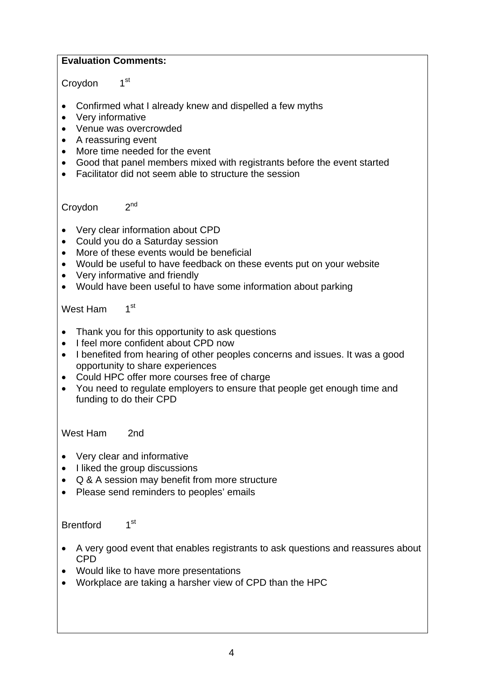### **Evaluation Comments:**

### Croydon 1<sup>st</sup>

- Confirmed what I already knew and dispelled a few myths
- Very informative
- Venue was overcrowded
- A reassuring event
- More time needed for the event
- Good that panel members mixed with registrants before the event started
- Facilitator did not seem able to structure the session

Croydon 2<sup>nd</sup>

- Very clear information about CPD
- Could you do a Saturday session
- More of these events would be beneficial
- Would be useful to have feedback on these events put on your website
- Very informative and friendly
- Would have been useful to have some information about parking

West Ham 1<sup>st</sup>

- Thank you for this opportunity to ask questions
- I feel more confident about CPD now
- I benefited from hearing of other peoples concerns and issues. It was a good opportunity to share experiences
- Could HPC offer more courses free of charge
- You need to regulate employers to ensure that people get enough time and funding to do their CPD

West Ham 2nd

- Very clear and informative
- I liked the group discussions
- Q & A session may benefit from more structure
- Please send reminders to peoples' emails

Brentford 1<sup>st</sup>

- A very good event that enables registrants to ask questions and reassures about CPD
- Would like to have more presentations
- Workplace are taking a harsher view of CPD than the HPC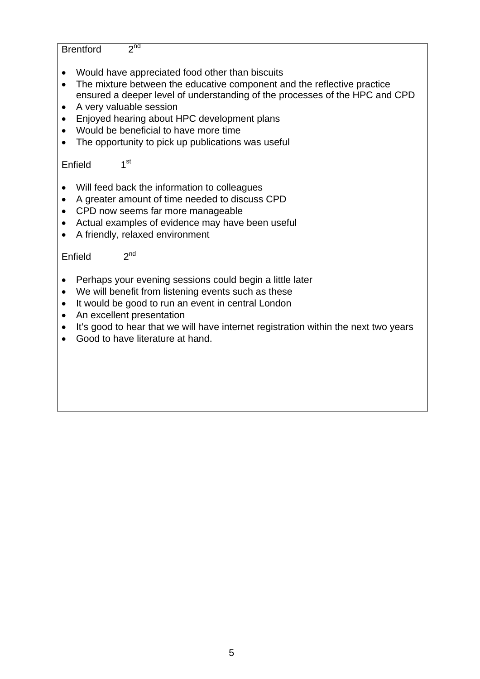Brentford 2<sup>nd</sup>

- Would have appreciated food other than biscuits
- The mixture between the educative component and the reflective practice ensured a deeper level of understanding of the processes of the HPC and CPD
- A very valuable session
- Enjoyed hearing about HPC development plans
- Would be beneficial to have more time
- The opportunity to pick up publications was useful

Enfield 1<sup>st</sup>

- Will feed back the information to colleagues
- A greater amount of time needed to discuss CPD
- CPD now seems far more manageable
- Actual examples of evidence may have been useful
- A friendly, relaxed environment

Enfield  $2<sup>nd</sup>$ 

- Perhaps your evening sessions could begin a little later
- We will benefit from listening events such as these
- It would be good to run an event in central London
- An excellent presentation
- It's good to hear that we will have internet registration within the next two years
- Good to have literature at hand.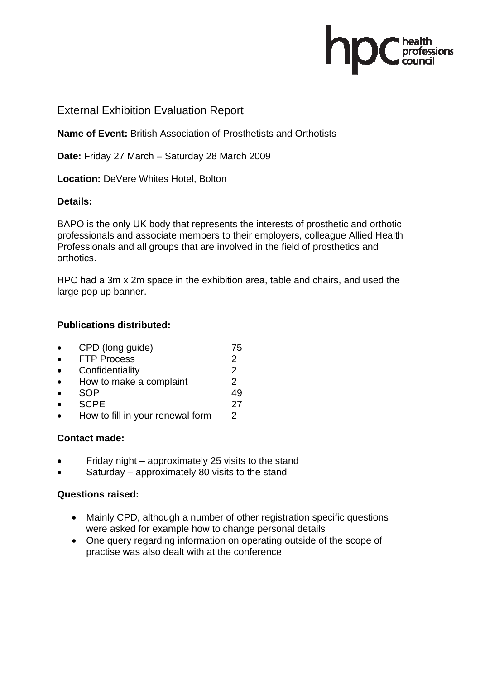# .<br>essions

### External Exhibition Evaluation Report

**Name of Event:** British Association of Prosthetists and Orthotists

**Date:** Friday 27 March – Saturday 28 March 2009

**Location:** DeVere Whites Hotel, Bolton

### **Details:**

BAPO is the only UK body that represents the interests of prosthetic and orthotic professionals and associate members to their employers, colleague Allied Health Professionals and all groups that are involved in the field of prosthetics and orthotics.

HPC had a 3m x 2m space in the exhibition area, table and chairs, and used the large pop up banner.

### **Publications distributed:**

| $\bullet$ | CPD (long guide)        | 75 |
|-----------|-------------------------|----|
| $\bullet$ | <b>FTP Process</b>      |    |
| $\bullet$ | Confidentiality         |    |
| $\bullet$ | How to make a complaint | 2  |

- SOP 49
- SCPE 27
- How to fill in your renewal form 2

### **Contact made:**

- Friday night approximately 25 visits to the stand
- Saturday approximately 80 visits to the stand

### **Questions raised:**

- Mainly CPD, although a number of other registration specific questions were asked for example how to change personal details
- One query regarding information on operating outside of the scope of practise was also dealt with at the conference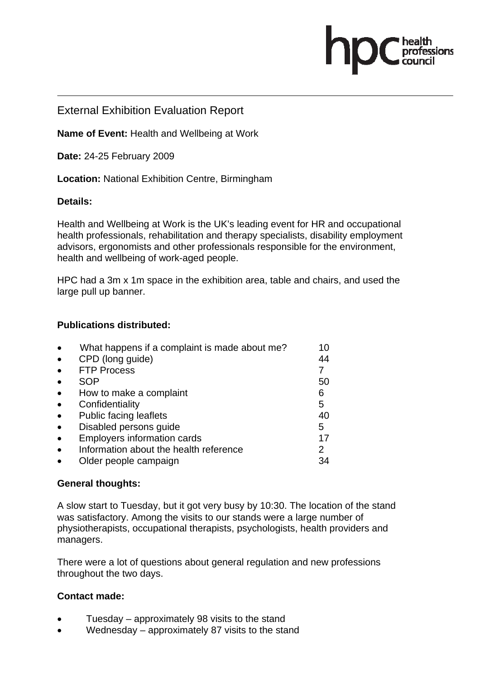### External Exhibition Evaluation Report

**Name of Event:** Health and Wellbeing at Work

**Date:** 24-25 February 2009

**Location:** National Exhibition Centre, Birmingham

### **Details:**

Health and Wellbeing at Work is the UK's leading event for HR and occupational health professionals, rehabilitation and therapy specialists, disability employment advisors, ergonomists and other professionals responsible for the environment, health and wellbeing of work-aged people.

nfessions

HPC had a 3m x 1m space in the exhibition area, table and chairs, and used the large pull up banner.

### **Publications distributed:**

| What happens if a complaint is made about me? | 10 |
|-----------------------------------------------|----|
| CPD (long guide)                              | 44 |
| <b>FTP Process</b>                            |    |
| SOP                                           | 50 |
| How to make a complaint                       | 6  |
| Confidentiality                               | 5  |
| <b>Public facing leaflets</b>                 | 40 |
| Disabled persons quide                        | 5  |
| <b>Employers information cards</b>            | 17 |
| Information about the health reference        | 2  |
| Older people campaign                         | 34 |
|                                               |    |

### **General thoughts:**

A slow start to Tuesday, but it got very busy by 10:30. The location of the stand was satisfactory. Among the visits to our stands were a large number of physiotherapists, occupational therapists, psychologists, health providers and managers.

There were a lot of questions about general regulation and new professions throughout the two days.

### **Contact made:**

- Tuesday approximately 98 visits to the stand
- Wednesday approximately 87 visits to the stand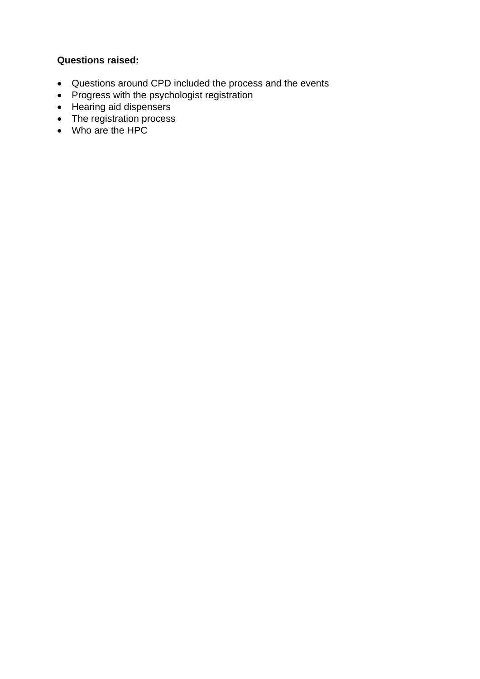### **Questions raised:**

- Questions around CPD included the process and the events
- Progress with the psychologist registration
- Hearing aid dispensers
- The registration process
- Who are the HPC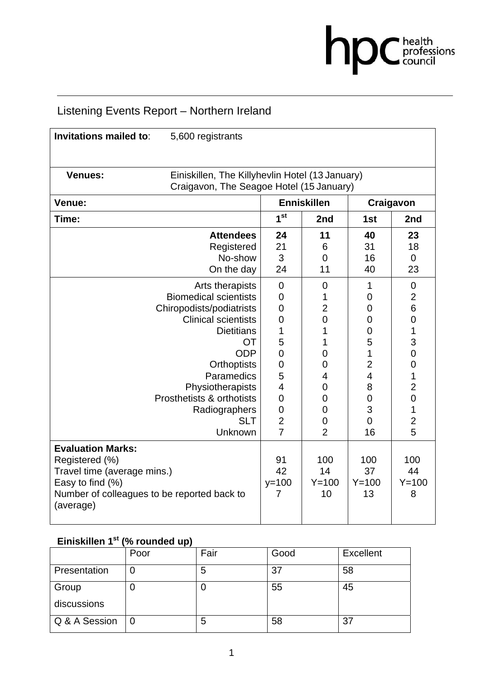

# Listening Events Report – Northern Ireland

| <b>Invitations mailed to:</b>                                                                                                                             | 5,600 registrants                                                                           |                          |                              |                              |                             |
|-----------------------------------------------------------------------------------------------------------------------------------------------------------|---------------------------------------------------------------------------------------------|--------------------------|------------------------------|------------------------------|-----------------------------|
| <b>Venues:</b>                                                                                                                                            | Einiskillen, The Killyhevlin Hotel (13 January)<br>Craigavon, The Seagoe Hotel (15 January) |                          |                              |                              |                             |
| Venue:                                                                                                                                                    |                                                                                             |                          | <b>Enniskillen</b>           | Craigavon                    |                             |
| Time:                                                                                                                                                     |                                                                                             | 1 <sup>st</sup>          | 2nd                          | 1st                          | 2nd                         |
|                                                                                                                                                           | <b>Attendees</b>                                                                            | 24                       | 11                           | 40                           | 23                          |
|                                                                                                                                                           | Registered                                                                                  | 21                       | 6                            | 31                           | 18                          |
|                                                                                                                                                           | No-show                                                                                     | 3                        | $\overline{0}$               | 16                           | $\overline{0}$              |
|                                                                                                                                                           | On the day                                                                                  | 24                       | 11                           | 40                           | 23                          |
|                                                                                                                                                           | Arts therapists                                                                             | $\overline{0}$           | $\mathbf 0$                  | 1                            | 0                           |
|                                                                                                                                                           | <b>Biomedical scientists</b>                                                                | 0                        | 1                            | $\overline{0}$               | $\overline{2}$              |
|                                                                                                                                                           | Chiropodists/podiatrists                                                                    | 0                        | $\overline{2}$               | 0                            | 6                           |
|                                                                                                                                                           | <b>Clinical scientists</b>                                                                  | 0                        | $\overline{0}$               | 0                            | $\mathbf 0$                 |
|                                                                                                                                                           | <b>Dietitians</b>                                                                           | 1                        | 1                            | 0                            | 1                           |
|                                                                                                                                                           | <b>OT</b>                                                                                   | 5                        | 1                            | 5                            | 3                           |
|                                                                                                                                                           | <b>ODP</b>                                                                                  | 0                        | 0                            | 1                            | $\overline{0}$              |
|                                                                                                                                                           | <b>Orthoptists</b>                                                                          | 0                        | 0                            | $\overline{2}$               | $\mathbf 0$                 |
|                                                                                                                                                           | Paramedics                                                                                  | 5                        | 4                            | $\overline{4}$               | 1                           |
|                                                                                                                                                           | Physiotherapists                                                                            | 4                        | 0                            | 8                            | $\overline{c}$              |
|                                                                                                                                                           | Prosthetists & orthotists                                                                   | $\overline{0}$           | 0                            | $\overline{0}$               | $\overline{0}$              |
|                                                                                                                                                           | Radiographers                                                                               | $\overline{0}$           | $\overline{0}$               | 3                            | 1                           |
|                                                                                                                                                           | <b>SLT</b>                                                                                  | $\overline{2}$           | 0                            | $\overline{0}$               | $\overline{2}$              |
|                                                                                                                                                           | Unknown                                                                                     | $\overline{7}$           | $\overline{2}$               | 16                           | 5                           |
| <b>Evaluation Marks:</b><br>Registered (%)<br>Travel time (average mins.)<br>Easy to find (%)<br>Number of colleagues to be reported back to<br>(average) |                                                                                             | 91<br>42<br>$y=100$<br>7 | 100<br>14<br>$Y = 100$<br>10 | 100<br>37<br>$Y = 100$<br>13 | 100<br>44<br>$Y = 100$<br>8 |
|                                                                                                                                                           |                                                                                             |                          |                              |                              |                             |

# Einiskillen 1<sup>st</sup> (% rounded up)

|               | Poor | Fair | Good | Excellent |
|---------------|------|------|------|-----------|
| Presentation  |      | 5    | 37   | 58        |
| Group         |      |      | 55   | 45        |
| discussions   |      |      |      |           |
| Q & A Session |      | 5    | 58   | 37        |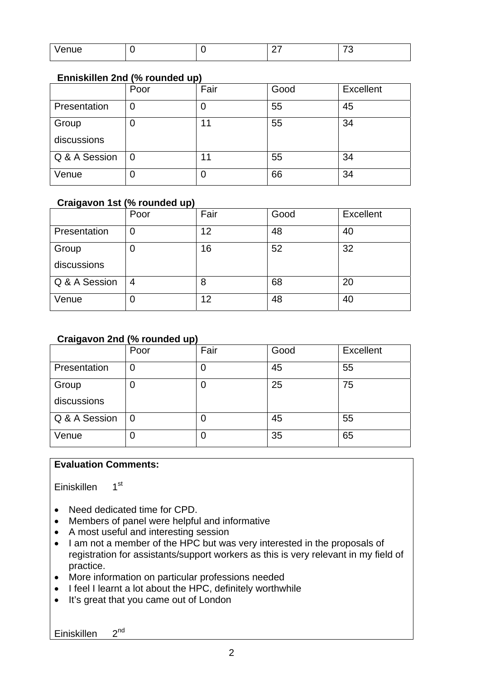| - 7<br>enue<br>v |  | _ | $ -$<br>╰ |
|------------------|--|---|-----------|

### **Enniskillen 2nd (% rounded up)**

|               | Poor | Fair | Good | <b>Excellent</b> |
|---------------|------|------|------|------------------|
| Presentation  |      | υ    | 55   | 45               |
| Group         |      | 11   | 55   | 34               |
| discussions   |      |      |      |                  |
| Q & A Session |      | 11   | 55   | 34               |
| Venue         |      | O    | 66   | 34               |

### **Craigavon 1st (% rounded up)**

|               | Poor | Fair | Good | <b>Excellent</b> |
|---------------|------|------|------|------------------|
| Presentation  | U    | 12   | 48   | 40               |
| Group         | U    | 16   | 52   | 32               |
| discussions   |      |      |      |                  |
| Q & A Session | 4    | 8    | 68   | 20               |
| Venue         | Ü    | 12   | 48   | 40               |

### **Craigavon 2nd (% rounded up)**

|                      | Poor | Fair | Good | <b>Excellent</b> |
|----------------------|------|------|------|------------------|
| Presentation         |      | Ü    | 45   | 55               |
| Group<br>discussions |      | O    | 25   | 75               |
| Q & A Session        |      | O    | 45   | 55               |
| Venue                |      | O    | 35   | 65               |

### **Evaluation Comments:**

Einiskillen 1st

- Need dedicated time for CPD.
- Members of panel were helpful and informative
- A most useful and interesting session
- I am not a member of the HPC but was very interested in the proposals of registration for assistants/support workers as this is very relevant in my field of practice.
- More information on particular professions needed
- I feel I learnt a lot about the HPC, definitely worthwhile
- It's great that you came out of London

Einiskillen 2<sup>nd</sup>